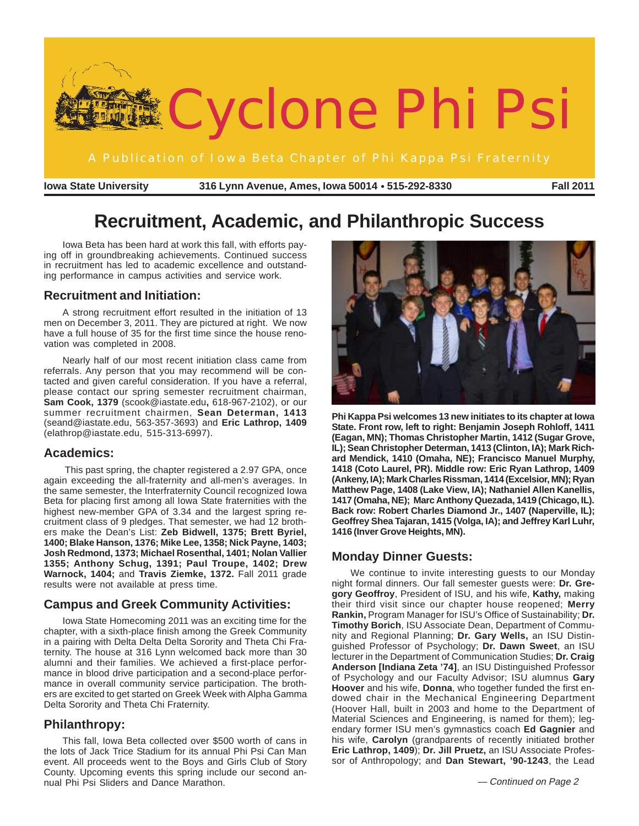

**Iowa State University 316 Lynn Avenue, Ames, Iowa 50014 515-292-8330** ● **Fall 2011**

# **Recruitment, Academic, and Philanthropic Success**

Iowa Beta has been hard at work this fall, with efforts paying off in groundbreaking achievements. Continued success in recruitment has led to academic excellence and outstanding performance in campus activities and service work.

### **Recruitment and Initiation:**

A strong recruitment effort resulted in the initiation of 13 men on December 3, 2011. They are pictured at right. We now have a full house of 35 for the first time since the house renovation was completed in 2008.

Nearly half of our most recent initiation class came from referrals. Any person that you may recommend will be contacted and given careful consideration. If you have a referral, please contact our spring semester recruitment chairman, **Sam Cook, 1379** (scook@iastate.edu**,** 618-967-2102), or our summer recruitment chairmen, **Sean Determan, 1413** (seand@iastate.edu, 563-357-3693) and **Eric Lathrop, 1409** (elathrop@iastate.edu, 515-313-6997).

### **Academics:**

 This past spring, the chapter registered a 2.97 GPA, once again exceeding the all-fraternity and all-men's averages. In the same semester, the Interfraternity Council recognized Iowa Beta for placing first among all Iowa State fraternities with the highest new-member GPA of 3.34 and the largest spring recruitment class of 9 pledges. That semester, we had 12 brothers make the Dean's List: **Zeb Bidwell, 1375; Brett Byriel, 1400; Blake Hanson, 1376; Mike Lee, 1358; Nick Payne, 1403; Josh Redmond, 1373; Michael Rosenthal, 1401; Nolan Vallier 1355; Anthony Schug, 1391; Paul Troupe, 1402; Drew Warnock, 1404;** and **Travis Ziemke, 1372.** Fall 2011 grade results were not available at press time.

### **Campus and Greek Community Activities:**

Iowa State Homecoming 2011 was an exciting time for the chapter, with a sixth-place finish among the Greek Community in a pairing with Delta Delta Delta Sorority and Theta Chi Fraternity. The house at 316 Lynn welcomed back more than 30 alumni and their families. We achieved a first-place performance in blood drive participation and a second-place performance in overall community service participation. The brothers are excited to get started on Greek Week with Alpha Gamma Delta Sorority and Theta Chi Fraternity.

## **Philanthropy:**

This fall, Iowa Beta collected over \$500 worth of cans in the lots of Jack Trice Stadium for its annual Phi Psi Can Man event. All proceeds went to the Boys and Girls Club of Story County. Upcoming events this spring include our second annual Phi Psi Sliders and Dance Marathon.



**Phi Kappa Psi welcomes 13 new initiates to its chapter at Iowa State. Front row, left to right: Benjamin Joseph Rohloff, 1411 (Eagan, MN); Thomas Christopher Martin, 1412 (Sugar Grove, IL); Sean Christopher Determan, 1413 (Clinton, IA); Mark Richard Mendick, 1410 (Omaha, NE); Francisco Manuel Murphy, 1418 (Coto Laurel, PR). Middle row: Eric Ryan Lathrop, 1409 (Ankeny, IA); Mark Charles Rissman, 1414 (Excelsior, MN); Ryan Matthew Page, 1408 (Lake View, IA); Nathaniel Allen Kanellis, 1417 (Omaha, NE); Marc Anthony Quezada, 1419 (Chicago, IL). Back row: Robert Charles Diamond Jr., 1407 (Naperville, IL); Geoffrey Shea Tajaran, 1415 (Volga, IA); and Jeffrey Karl Luhr, 1416 (Inver Grove Heights, MN).**

## **Monday Dinner Guests:**

We continue to invite interesting guests to our Monday night formal dinners. Our fall semester guests were: **Dr. Gregory Geoffroy**, President of ISU, and his wife, **Kathy,** making their third visit since our chapter house reopened; **Merry Rankin,** Program Manager for ISU's Office of Sustainability; **Dr. Timothy Borich**, ISU Associate Dean, Department of Community and Regional Planning; **Dr. Gary Wells,** an ISU Distinguished Professor of Psychology; **Dr. Dawn Sweet**, an ISU lecturer in the Department of Communication Studies; **Dr. Craig Anderson [Indiana Zeta '74]**, an ISU Distinguished Professor of Psychology and our Faculty Advisor; ISU alumnus **Gary Hoover** and his wife, **Donna**, who together funded the first endowed chair in the Mechanical Engineering Department (Hoover Hall, built in 2003 and home to the Department of Material Sciences and Engineering, is named for them); legendary former ISU men's gymnastics coach **Ed Gagnier** and his wife, **Carolyn** (grandparents of recently initiated brother **Eric Lathrop, 1409**); **Dr. Jill Pruetz,** an ISU Associate Professor of Anthropology; and **Dan Stewart, '90-1243**, the Lead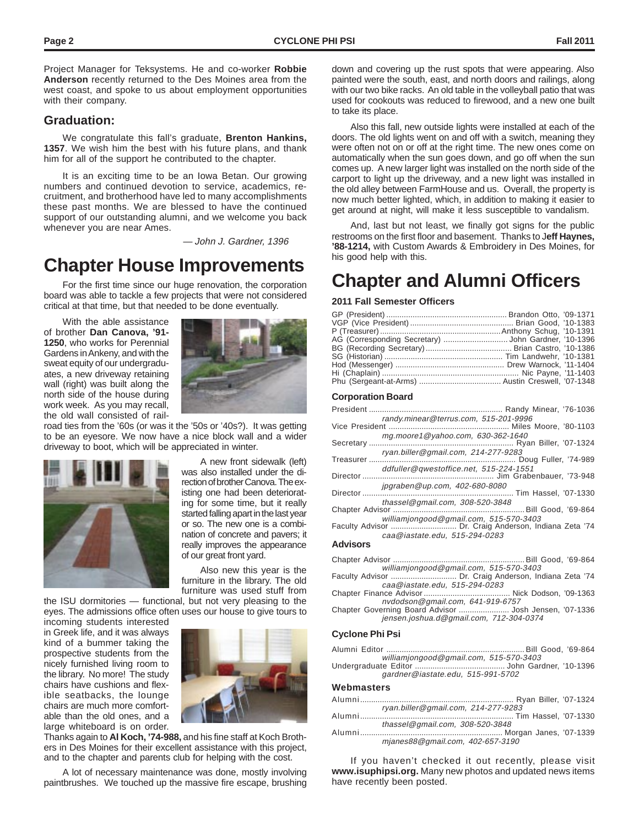Project Manager for Teksystems. He and co-worker **Robbie Anderson** recently returned to the Des Moines area from the

### **Graduation:**

with their company.

We congratulate this fall's graduate, **Brenton Hankins, 1357**. We wish him the best with his future plans, and thank him for all of the support he contributed to the chapter.

west coast, and spoke to us about employment opportunities

It is an exciting time to be an Iowa Betan. Our growing numbers and continued devotion to service, academics, recruitment, and brotherhood have led to many accomplishments these past months. We are blessed to have the continued support of our outstanding alumni, and we welcome you back whenever you are near Ames.

— John J. Gardner, 1396

## **Chapter House Improvements**

For the first time since our huge renovation, the corporation board was able to tackle a few projects that were not considered critical at that time, but that needed to be done eventually.

With the able assistance of brother **Dan Canova, '91- 1250**, who works for Perennial Gardens in Ankeny, and with the sweat equity of our undergraduates, a new driveway retaining wall (right) was built along the north side of the house during work week. As you may recall, the old wall consisted of rail-



road ties from the '60s (or was it the '50s or '40s?). It was getting to be an eyesore. We now have a nice block wall and a wider driveway to boot, which will be appreciated in winter.



A new front sidewalk (left) was also installed under the direction of brother Canova. The existing one had been deteriorating for some time, but it really started falling apart in the last year or so. The new one is a combination of concrete and pavers; it really improves the appearance of our great front yard.

Also new this year is the furniture in the library. The old furniture was used stuff from

the ISU dormitories — functional, but not very pleasing to the eyes. The admissions office often uses our house to give tours to

incoming students interested in Greek life, and it was always kind of a bummer taking the prospective students from the nicely furnished living room to the library. No more! The study chairs have cushions and flexible seatbacks, the lounge chairs are much more comfortable than the old ones, and a large whiteboard is on order.



Thanks again to **Al Koch, '74-988,** and his fine staff at Koch Brothers in Des Moines for their excellent assistance with this project, and to the chapter and parents club for helping with the cost.

A lot of necessary maintenance was done, mostly involving paintbrushes. We touched up the massive fire escape, brushing

down and covering up the rust spots that were appearing. Also painted were the south, east, and north doors and railings, along with our two bike racks. An old table in the volleyball patio that was used for cookouts was reduced to firewood, and a new one built to take its place.

Also this fall, new outside lights were installed at each of the doors. The old lights went on and off with a switch, meaning they were often not on or off at the right time. The new ones come on automatically when the sun goes down, and go off when the sun comes up. A new larger light was installed on the north side of the carport to light up the driveway, and a new light was installed in the old alley between FarmHouse and us. Overall, the property is now much better lighted, which, in addition to making it easier to get around at night, will make it less susceptible to vandalism.

And, last but not least, we finally got signs for the public restrooms on the first floor and basement. Thanks to J**eff Haynes, '88-1214,** with Custom Awards & Embroidery in Des Moines, for his good help with this.

## **Chapter and Alumni Officers**

#### **2011 Fall Semester Officers**

#### **Corporation Board**

|                 | randy.minear@terrus.com, 515-201-9996  |
|-----------------|----------------------------------------|
|                 | mg.moore1@yahoo.com, 630-362-1640      |
|                 | ryan.biller@gmail.com, 214-277-9283    |
|                 | ddfuller@qwestoffice.net, 515-224-1551 |
|                 | jpgraben@up.com, 402-680-8080          |
|                 | thassel@gmail.com, 308-520-3848        |
|                 | williamiongood@gmail.com, 515-570-3403 |
| <b>Advisors</b> | caa@iastate.edu, 515-294-0283          |
|                 |                                        |

| .               |                          |  |
|-----------------|--------------------------|--|
| Chanter Advisor | <b>Bill Good</b> '69-864 |  |

|                                | williamiongood@gmail.com, 515-570-3403                |
|--------------------------------|-------------------------------------------------------|
|                                | Faculty Advisor  Dr. Craig Anderson, Indiana Zeta '74 |
| caa@iastate.edu. 515-294-0283  |                                                       |
|                                |                                                       |
| nudodcon@amailcon @11.010.6757 |                                                       |

Chapter Governing Board Advisor ....................... Josh Jensen, '07-1336 nail.com, 641-919-675 jensen.joshua.d@gmail.com, 712-304-0374

#### **Cyclone Phi Psi**

williamjongood@gmail.com, 515-570-3403 gardner@iastate.edu, 515-991-5702 Alumni Editor ............................................................... Bill Good, '69-864 Undergraduate Editor ......................................... John Gardner, '10-1396

#### **Webmasters**

| ryan.biller@gmail.com, 214-277-9283 |  |
|-------------------------------------|--|
|                                     |  |
| thassel@gmail.com, 308-520-3848     |  |
|                                     |  |
| mjanes88@gmail.com, 402-657-3190    |  |

If you haven't checked it out recently, please visit **www.isuphipsi.org.** Many new photos and updated news items have recently been posted.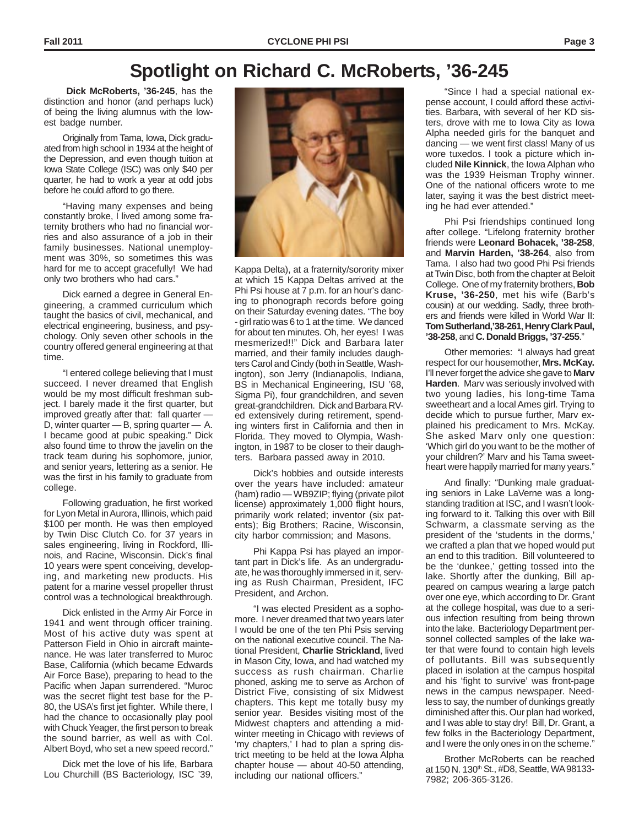**Dick McRoberts, '36-245**, has the distinction and honor (and perhaps luck) of being the living alumnus with the lowest badge number.

Originally from Tama, Iowa, Dick graduated from high school in 1934 at the height of the Depression, and even though tuition at Iowa State College (ISC) was only \$40 per quarter, he had to work a year at odd jobs before he could afford to go there.

"Having many expenses and being constantly broke, I lived among some fraternity brothers who had no financial worries and also assurance of a job in their family businesses. National unemployment was 30%, so sometimes this was hard for me to accept gracefully! We had only two brothers who had cars."

Dick earned a degree in General Engineering, a crammed curriculum which taught the basics of civil, mechanical, and electrical engineering, business, and psychology. Only seven other schools in the country offered general engineering at that time.

"I entered college believing that I must succeed. I never dreamed that English would be my most difficult freshman subject. I barely made it the first quarter, but improved greatly after that: fall quarter — D, winter quarter — B, spring quarter — A. I became good at pubic speaking." Dick also found time to throw the javelin on the track team during his sophomore, junior, and senior years, lettering as a senior. He was the first in his family to graduate from college.

Following graduation, he first worked for Lyon Metal in Aurora, Illinois, which paid \$100 per month. He was then employed by Twin Disc Clutch Co. for 37 years in sales engineering, living in Rockford, Illinois, and Racine, Wisconsin. Dick's final 10 years were spent conceiving, developing, and marketing new products. His patent for a marine vessel propeller thrust control was a technological breakthrough.

Dick enlisted in the Army Air Force in 1941 and went through officer training. Most of his active duty was spent at Patterson Field in Ohio in aircraft maintenance. He was later transferred to Muroc Base, California (which became Edwards Air Force Base), preparing to head to the Pacific when Japan surrendered. "Muroc was the secret flight test base for the P-80, the USA's first jet fighter. While there, I had the chance to occasionally play pool with Chuck Yeager, the first person to break the sound barrier, as well as with Col. Albert Boyd, who set a new speed record."

Dick met the love of his life, Barbara Lou Churchill (BS Bacteriology, ISC '39,



Kappa Delta), at a fraternity/sorority mixer at which 15 Kappa Deltas arrived at the Phi Psi house at 7 p.m. for an hour's dancing to phonograph records before going on their Saturday evening dates. "The boy - girl ratio was 6 to 1 at the time. We danced for about ten minutes. Oh, her eyes! I was mesmerized!!" Dick and Barbara later married, and their family includes daughters Carol and Cindy (both in Seattle, Washington), son Jerry (Indianapolis, Indiana, BS in Mechanical Engineering, ISU '68, Sigma Pi), four grandchildren, and seven great-grandchildren. Dick and Barbara RVed extensively during retirement, spending winters first in California and then in Florida. They moved to Olympia, Washington, in 1987 to be closer to their daughters. Barbara passed away in 2010.

Dick's hobbies and outside interests over the years have included: amateur (ham) radio — WB9ZIP; flying (private pilot license) approximately 1,000 flight hours, primarily work related; inventor (six patents); Big Brothers; Racine, Wisconsin, city harbor commission; and Masons.

Phi Kappa Psi has played an important part in Dick's life. As an undergraduate, he was thoroughly immersed in it, serving as Rush Chairman, President, IFC President, and Archon.

"I was elected President as a sophomore. I never dreamed that two years later I would be one of the ten Phi Psis serving on the national executive council. The National President, **Charlie Strickland**, lived in Mason City, Iowa, and had watched my success as rush chairman. Charlie phoned, asking me to serve as Archon of District Five, consisting of six Midwest chapters. This kept me totally busy my senior year. Besides visiting most of the Midwest chapters and attending a midwinter meeting in Chicago with reviews of 'my chapters,' I had to plan a spring district meeting to be held at the Iowa Alpha chapter house — about 40-50 attending, including our national officers."

"Since I had a special national expense account, I could afford these activities. Barbara, with several of her KD sisters, drove with me to Iowa City as Iowa Alpha needed girls for the banquet and dancing — we went first class! Many of us wore tuxedos. I took a picture which included **Nile Kinnick**, the Iowa Alphan who was the 1939 Heisman Trophy winner. One of the national officers wrote to me later, saying it was the best district meeting he had ever attended."

Phi Psi friendships continued long after college. "Lifelong fraternity brother friends were **Leonard Bohacek, '38-258**, and **Marvin Harden, '38-264**, also from Tama. I also had two good Phi Psi friends at Twin Disc, both from the chapter at Beloit College. One of my fraternity brothers, **Bob Kruse, '36-250**, met his wife (Barb's cousin) at our wedding. Sadly, three brothers and friends were killed in World War II: **Tom Sutherland,'38-261**, **Henry Clark Paul, '38-258**, and **C. Donald Briggs, '37-255**."

Other memories: "I always had great respect for our housemother, **Mrs. McKay.** I'll never forget the advice she gave to **Marv Harden**. Marv was seriously involved with two young ladies, his long-time Tama sweetheart and a local Ames girl. Trying to decide which to pursue further, Marv explained his predicament to Mrs. McKay. She asked Marv only one question: 'Which girl do you want to be the mother of your children?' Marv and his Tama sweetheart were happily married for many years."

And finally: "Dunking male graduating seniors in Lake LaVerne was a longstanding tradition at ISC, and I wasn't looking forward to it. Talking this over with Bill Schwarm, a classmate serving as the president of the 'students in the dorms,' we crafted a plan that we hoped would put an end to this tradition. Bill volunteered to be the 'dunkee,' getting tossed into the lake. Shortly after the dunking, Bill appeared on campus wearing a large patch over one eye, which according to Dr. Grant at the college hospital, was due to a serious infection resulting from being thrown into the lake. Bacteriology Department personnel collected samples of the lake water that were found to contain high levels of pollutants. Bill was subsequently placed in isolation at the campus hospital and his 'fight to survive' was front-page news in the campus newspaper. Needless to say, the number of dunkings greatly diminished after this. Our plan had worked, and I was able to stay dry! Bill, Dr. Grant, a few folks in the Bacteriology Department, and I were the only ones in on the scheme."

Brother McRoberts can be reached at 150 N. 130<sup>th</sup> St., #D8, Seattle, WA 98133-7982; 206-365-3126.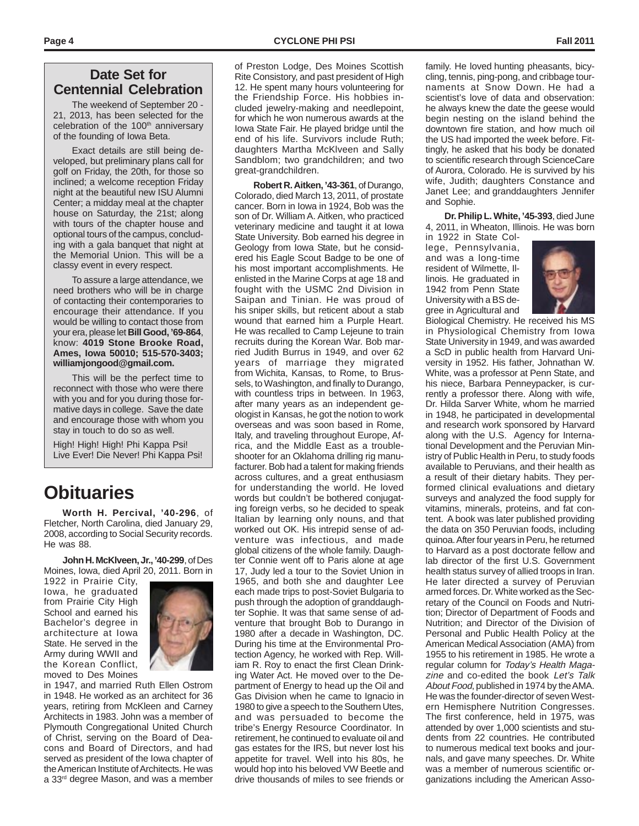## **Date Set for Centennial Celebration**

The weekend of September 20 - 21, 2013, has been selected for the celebration of the 100<sup>th</sup> anniversary of the founding of Iowa Beta.

Exact details are still being developed, but preliminary plans call for golf on Friday, the 20th, for those so inclined; a welcome reception Friday night at the beautiful new ISU Alumni Center; a midday meal at the chapter house on Saturday, the 21st; along with tours of the chapter house and optional tours of the campus, concluding with a gala banquet that night at the Memorial Union. This will be a classy event in every respect.

To assure a large attendance, we need brothers who will be in charge of contacting their contemporaries to encourage their attendance. If you would be willing to contact those from your era, please let **Bill Good, '69-864**, know: **4019 Stone Brooke Road, Ames, Iowa 50010; 515-570-3403; williamjongood@gmail.com.**

This will be the perfect time to reconnect with those who were there with you and for you during those formative days in college. Save the date and encourage those with whom you stay in touch to do so as well.

High! High! High! Phi Kappa Psi! Live Ever! Die Never! Phi Kappa Psi!

## **Obituaries**

**Worth H. Percival, '40-296**, of Fletcher, North Carolina, died January 29, 2008, according to Social Security records. He was 88.

**John H. McKlveen, Jr., '40-299**, of Des Moines, Iowa, died April 20, 2011. Born in

1922 in Prairie City, Iowa, he graduated from Prairie City High School and earned his Bachelor's degree in architecture at Iowa State. He served in the Army during WWII and the Korean Conflict, moved to Des Moines



in 1947, and married Ruth Ellen Ostrom in 1948. He worked as an architect for 36 years, retiring from McKleen and Carney Architects in 1983. John was a member of Plymouth Congregational United Church of Christ, serving on the Board of Deacons and Board of Directors, and had served as president of the Iowa chapter of the American Institute of Architects. He was a 33<sup>rd</sup> degree Mason, and was a member of Preston Lodge, Des Moines Scottish Rite Consistory, and past president of High 12. He spent many hours volunteering for the Friendship Force. His hobbies included jewelry-making and needlepoint, for which he won numerous awards at the Iowa State Fair. He played bridge until the end of his life. Survivors include Ruth; daughters Martha McKlveen and Sally Sandblom; two grandchildren; and two great-grandchildren.

**Robert R. Aitken, '43-361**, of Durango, Colorado, died March 13, 2011, of prostate cancer. Born in Iowa in 1924, Bob was the son of Dr. William A. Aitken, who practiced veterinary medicine and taught it at Iowa State University. Bob earned his degree in Geology from Iowa State, but he considered his Eagle Scout Badge to be one of his most important accomplishments. He enlisted in the Marine Corps at age 18 and fought with the USMC 2nd Division in Saipan and Tinian. He was proud of his sniper skills, but reticent about a stab wound that earned him a Purple Heart. He was recalled to Camp Lejeune to train recruits during the Korean War. Bob married Judith Burrus in 1949, and over 62 years of marriage they migrated from Wichita, Kansas, to Rome, to Brussels, to Washington, and finally to Durango, with countless trips in between. In 1963, after many years as an independent geologist in Kansas, he got the notion to work overseas and was soon based in Rome, Italy, and traveling throughout Europe, Africa, and the Middle East as a troubleshooter for an Oklahoma drilling rig manufacturer. Bob had a talent for making friends across cultures, and a great enthusiasm for understanding the world. He loved words but couldn't be bothered conjugating foreign verbs, so he decided to speak Italian by learning only nouns, and that worked out OK. His intrepid sense of adventure was infectious, and made global citizens of the whole family. Daughter Connie went off to Paris alone at age 17, Judy led a tour to the Soviet Union in 1965, and both she and daughter Lee each made trips to post-Soviet Bulgaria to push through the adoption of granddaughter Sophie. It was that same sense of adventure that brought Bob to Durango in 1980 after a decade in Washington, DC. During his time at the Environmental Protection Agency, he worked with Rep. William R. Roy to enact the first Clean Drinking Water Act. He moved over to the Department of Energy to head up the Oil and Gas Division when he came to Ignacio in 1980 to give a speech to the Southern Utes, and was persuaded to become the tribe's Energy Resource Coordinator. In retirement, he continued to evaluate oil and gas estates for the IRS, but never lost his appetite for travel. Well into his 80s, he would hop into his beloved VW Beetle and drive thousands of miles to see friends or

family. He loved hunting pheasants, bicycling, tennis, ping-pong, and cribbage tournaments at Snow Down. He had a scientist's love of data and observation: he always knew the date the geese would begin nesting on the island behind the downtown fire station, and how much oil the US had imported the week before. Fittingly, he asked that his body be donated to scientific research through ScienceCare of Aurora, Colorado. He is survived by his wife, Judith; daughters Constance and Janet Lee; and granddaughters Jennifer and Sophie.

**Dr. Philip L. White, '45-393**, died June 4, 2011, in Wheaton, Illinois. He was born

in 1922 in State College, Pennsylvania, and was a long-time resident of Wilmette, Illinois. He graduated in 1942 from Penn State University with a BS degree in Agricultural and



Biological Chemistry. He received his MS in Physiological Chemistry from Iowa State University in 1949, and was awarded a ScD in public health from Harvard University in 1952. His father, Johnathan W. White, was a professor at Penn State, and his niece, Barbara Penneypacker, is currently a professor there. Along with wife, Dr. Hilda Sarver White, whom he married in 1948, he participated in developmental and research work sponsored by Harvard along with the U.S. Agency for International Development and the Peruvian Ministry of Public Health in Peru, to study foods available to Peruvians, and their health as a result of their dietary habits. They performed clinical evaluations and dietary surveys and analyzed the food supply for vitamins, minerals, proteins, and fat content. A book was later published providing the data on 350 Peruvian foods, including quinoa. After four years in Peru, he returned to Harvard as a post doctorate fellow and lab director of the first U.S. Government health status survey of allied troops in Iran. He later directed a survey of Peruvian armed forces. Dr. White worked as the Secretary of the Council on Foods and Nutrition; Director of Department of Foods and Nutrition; and Director of the Division of Personal and Public Health Policy at the American Medical Association (AMA) from 1955 to his retirement in 1985. He wrote a regular column for Today's Health Magazine and co-edited the book Let's Talk About Food, published in 1974 by the AMA. He was the founder-director of seven Western Hemisphere Nutrition Congresses. The first conference, held in 1975, was attended by over 1,000 scientists and students from 22 countries. He contributed to numerous medical text books and journals, and gave many speeches. Dr. White was a member of numerous scientific organizations including the American Asso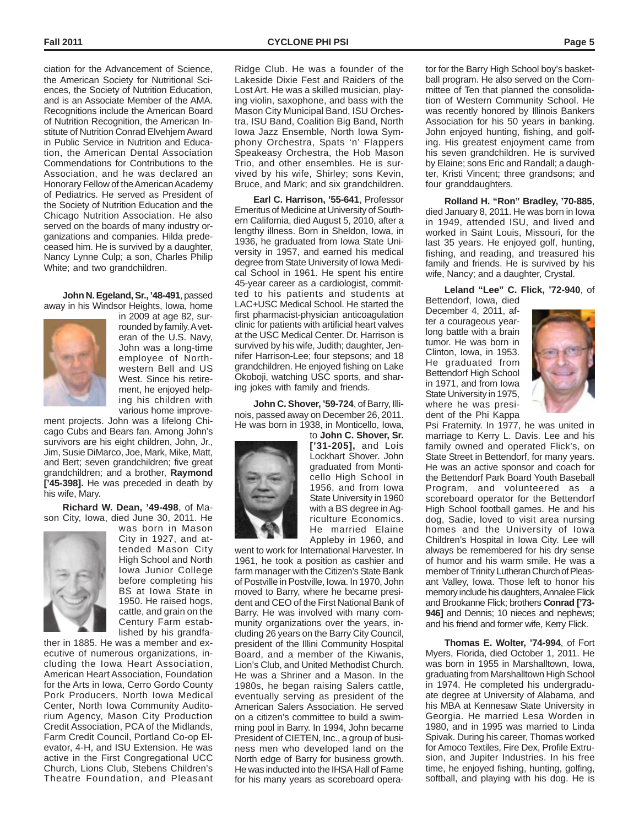ciation for the Advancement of Science, the American Society for Nutritional Sciences, the Society of Nutrition Education, and is an Associate Member of the AMA. Recognitions include the American Board of Nutrition Recognition, the American Institute of Nutrition Conrad Elvehjem Award in Public Service in Nutrition and Education, the American Dental Association Commendations for Contributions to the Association, and he was declared an Honorary Fellow of the American Academy of Pediatrics. He served as President of the Society of Nutrition Education and the Chicago Nutrition Association. He also served on the boards of many industry organizations and companies. Hilda predeceased him. He is survived by a daughter, Nancy Lynne Culp; a son, Charles Philip White; and two grandchildren.

**John N. Egeland, Sr., '48-491**, passed away in his Windsor Heights, Iowa, home



in 2009 at age 82, surrounded by family. A veteran of the U.S. Navy, John was a long-time employee of Northwestern Bell and US West. Since his retirement, he enjoyed helping his children with various home improve-

ment projects. John was a lifelong Chicago Cubs and Bears fan. Among John's survivors are his eight children, John, Jr., Jim, Susie DiMarco, Joe, Mark, Mike, Matt, and Bert; seven grandchildren; five great grandchildren; and a brother, **Raymond ['45-398].** He was preceded in death by his wife, Mary.

**Richard W. Dean, '49-498**, of Mason City, Iowa, died June 30, 2011. He



was born in Mason City in 1927, and attended Mason City High School and North Iowa Junior College before completing his BS at Iowa State in 1950. He raised hogs, cattle, and grain on the Century Farm established by his grandfa-

ther in 1885. He was a member and executive of numerous organizations, including the Iowa Heart Association, American Heart Association, Foundation for the Arts in Iowa, Cerro Gordo County Pork Producers, North Iowa Medical Center, North Iowa Community Auditorium Agency, Mason City Production Credit Association, PCA of the Midlands, Farm Credit Council, Portland Co-op Elevator, 4-H, and ISU Extension. He was active in the First Congregational UCC Church, Lions Club, Stebens Children's Theatre Foundation, and Pleasant

Ridge Club. He was a founder of the Lakeside Dixie Fest and Raiders of the Lost Art. He was a skilled musician, playing violin, saxophone, and bass with the Mason City Municipal Band, ISU Orchestra, ISU Band, Coalition Big Band, North Iowa Jazz Ensemble, North Iowa Symphony Orchestra, Spats 'n' Flappers Speakeasy Orchestra, the Hob Mason Trio, and other ensembles. He is survived by his wife, Shirley; sons Kevin, Bruce, and Mark; and six grandchildren.

**Earl C. Harrison, '55-641**, Professor Emeritus of Medicine at University of Southern California, died August 5, 2010, after a lengthy illness. Born in Sheldon, Iowa, in 1936, he graduated from Iowa State University in 1957, and earned his medical degree from State University of Iowa Medical School in 1961. He spent his entire 45-year career as a cardiologist, committed to his patients and students at LAC+USC Medical School. He started the first pharmacist-physician anticoagulation clinic for patients with artificial heart valves at the USC Medical Center. Dr. Harrison is survived by his wife, Judith; daughter, Jennifer Harrison-Lee; four stepsons; and 18 grandchildren. He enjoyed fishing on Lake Okoboji, watching USC sports, and sharing jokes with family and friends.

**John C. Shover, '59-724**, of Barry, Illinois, passed away on December 26, 2011. He was born in 1938, in Monticello, Iowa,



to **John C. Shover, Sr. ['31-205],** and Lois Lockhart Shover. John graduated from Monticello High School in 1956, and from Iowa State University in 1960 with a BS degree in Agriculture Economics. He married Elaine Appleby in 1960, and

went to work for International Harvester. In 1961, he took a position as cashier and farm manager with the Citizen's State Bank of Postville in Postville, Iowa. In 1970, John moved to Barry, where he became president and CEO of the First National Bank of Barry. He was involved with many community organizations over the years, including 26 years on the Barry City Council, president of the Illini Community Hospital Board, and a member of the Kiwanis, Lion's Club, and United Methodist Church. He was a Shriner and a Mason. In the 1980s, he began raising Salers cattle, eventually serving as president of the American Salers Association. He served on a citizen's committee to build a swimming pool in Barry. In 1994, John became President of CIETEN, Inc., a group of business men who developed land on the North edge of Barry for business growth. He was inducted into the IHSA Hall of Fame for his many years as scoreboard opera-

tor for the Barry High School boy's basketball program. He also served on the Committee of Ten that planned the consolidation of Western Community School. He was recently honored by Illinois Bankers Association for his 50 years in banking. John enjoyed hunting, fishing, and golfing. His greatest enjoyment came from his seven grandchildren. He is survived by Elaine; sons Eric and Randall; a daughter, Kristi Vincent; three grandsons; and four granddaughters.

**Rolland H. "Ron" Bradley, '70-885**, died January 8, 2011. He was born in Iowa in 1949, attended ISU, and lived and worked in Saint Louis, Missouri, for the last 35 years. He enjoyed golf, hunting, fishing, and reading, and treasured his family and friends. He is survived by his wife, Nancy; and a daughter, Crystal.

**Leland "Lee" C. Flick, '72-940**, of

Bettendorf, Iowa, died December 4, 2011, after a courageous yearlong battle with a brain tumor. He was born in Clinton, Iowa, in 1953. He graduated from Bettendorf High School in 1971, and from Iowa State University in 1975, where he was president of the Phi Kappa



Psi Fraternity. In 1977, he was united in marriage to Kerry L. Davis. Lee and his family owned and operated Flick's, on State Street in Bettendorf, for many years. He was an active sponsor and coach for the Bettendorf Park Board Youth Baseball Program, and volunteered as a scoreboard operator for the Bettendorf High School football games. He and his dog, Sadie, loved to visit area nursing homes and the University of Iowa Children's Hospital in Iowa City. Lee will always be remembered for his dry sense of humor and his warm smile. He was a member of Trinity Lutheran Church of Pleasant Valley, Iowa. Those left to honor his memory include his daughters, Annalee Flick and Brookanne Flick; brothers **Conrad ['73- 946]** and Dennis; 10 nieces and nephews; and his friend and former wife, Kerry Flick.

**Thomas E. Wolter, '74-994**, of Fort Myers, Florida, died October 1, 2011. He was born in 1955 in Marshalltown, Iowa, graduating from Marshalltown High School in 1974. He completed his undergraduate degree at University of Alabama, and his MBA at Kennesaw State University in Georgia. He married Lesa Worden in 1980, and in 1995 was married to Linda Spivak. During his career, Thomas worked for Amoco Textiles, Fire Dex, Profile Extrusion, and Jupiter Industries. In his free time, he enjoyed fishing, hunting, golfing, softball, and playing with his dog. He is